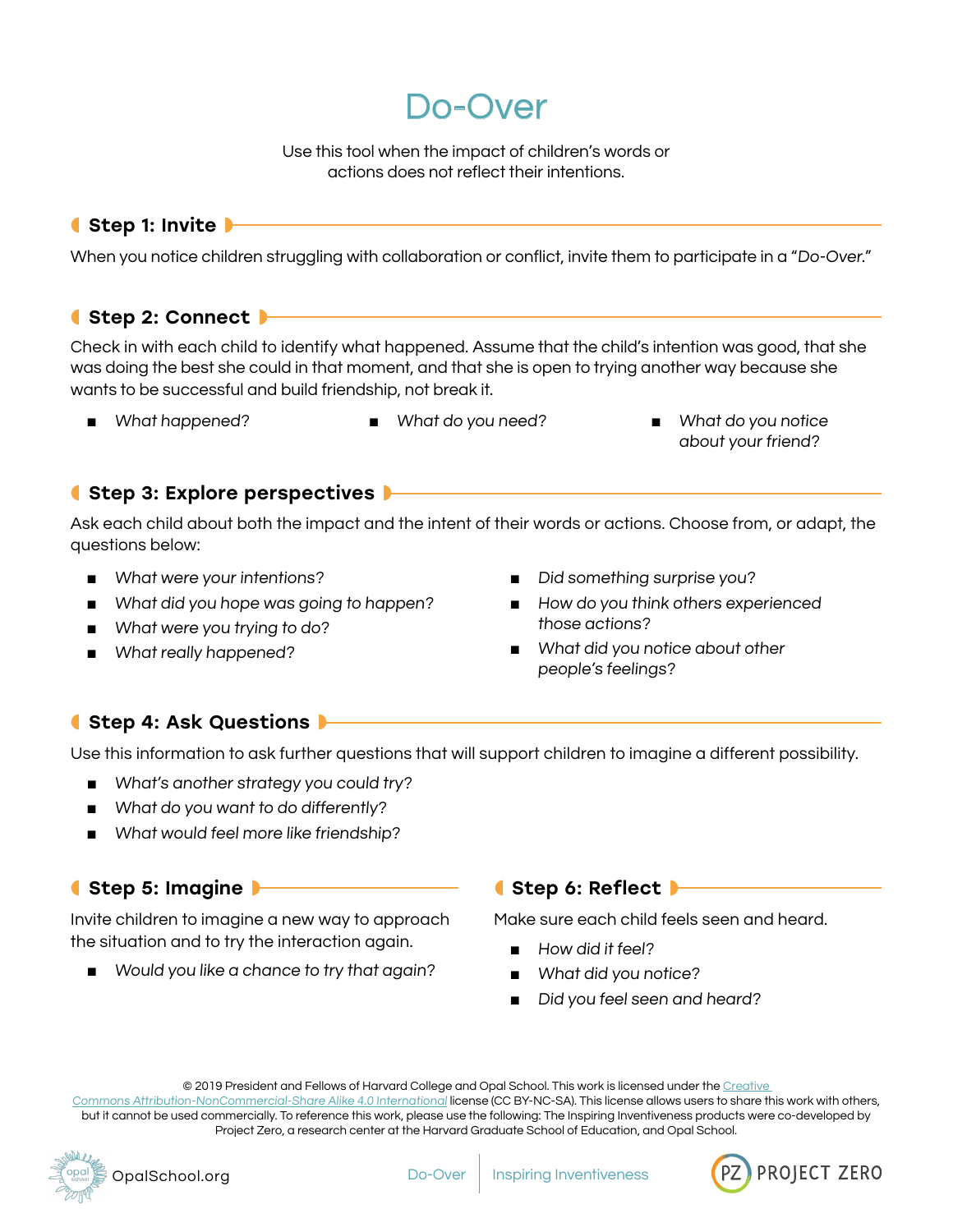Do-Over

Use this tool when the impact of children's words or actions does not reflect their intentions.

## ● Step 1: Invite

When you notice children struggling with collaboration or conflict, invite them to participate in a "Do-Over."

#### ● Step 2: Connect ▶

Check in with each child to identify what happened. Assume that the child's intention was good, that she was doing the best she could in that moment, and that she is open to trying another way because she wants to be successful and build friendship, not break it.

- 
- What happened? What do you need? What do you notice about your friend?

## ● Step 3: Explore perspectives ▶

Ask each child about both the impact and the intent of their words or actions. Choose from, or adapt, the questions below:

- What were your intentions?
- What did you hope was going to happen?
- What were you trying to do?
- What really happened?
- Did something surprise you?
- How do you think others experienced those actions?
- What did you notice about other people's feelings?

## ● Step 4: Ask Questions

Use this information to ask further questions that will support children to imagine a different possibility.

- What's another strategy you could try?
- What do you want to do differently?
- What would feel more like friendship?

## ● Step 5: Imagine

Invite children to imagine a new way to approach the situation and to try the interaction again.

■ Would you like a chance to try that again?

#### ● Step 6: Reflect ▶

Make sure each child feels seen and heard.

- How did it feel?
- What did you notice?
- Did you feel seen and heard?

© 2019 President and Fellows of Harvard College and Opal School. This work is licensed under the [Creative](https://creativecommons.org/licenses/by-nc-sa/4.0/) 

[Commons Attribution-NonCommercial-Share Alike 4.0 International](https://creativecommons.org/licenses/by-nc-sa/4.0/) license (CC BY-NC-SA). This license allows users to share this work with others, but it cannot be used commercially. To reference this work, please use the following: The Inspiring Inventiveness products were co-developed by Project Zero, a research center at the Harvard Graduate School of Education, and Opal School.